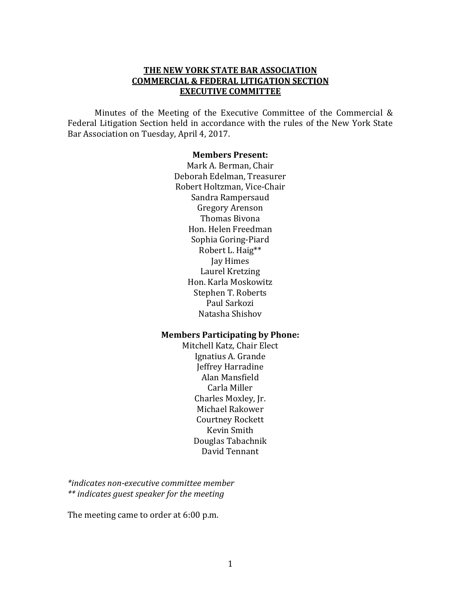#### **THE NEW YORK STATE BAR ASSOCIATION COMMERCIAL & FEDERAL LITIGATION SECTION EXECUTIVE COMMITTEE**

Minutes of the Meeting of the Executive Committee of the Commercial & Federal Litigation Section held in accordance with the rules of the New York State Bar Association on Tuesday, April 4, 2017.

#### **Members Present:**

Mark A. Berman, Chair Deborah Edelman, Treasurer Robert Holtzman, Vice-Chair Sandra Rampersaud Gregory Arenson Thomas Bivona Hon. Helen Freedman Sophia Goring-Piard Robert L. Haig\*\* Jay Himes Laurel Kretzing Hon. Karla Moskowitz Stephen T. Roberts Paul Sarkozi Natasha Shishov

#### **Members Participating by Phone:**

Mitchell Katz, Chair Elect Ignatius A. Grande Jeffrey Harradine Alan Mansfield Carla Miller Charles Moxley, Jr. Michael Rakower Courtney Rockett Kevin Smith Douglas Tabachnik David Tennant

*\*indicates non-executive committee member \*\* indicates guest speaker for the meeting* 

The meeting came to order at 6:00 p.m.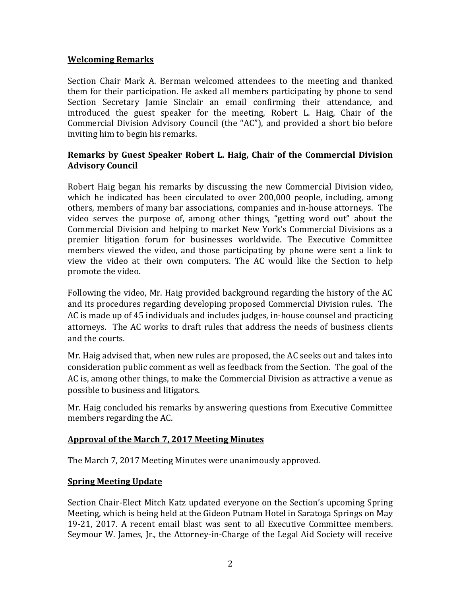#### **Welcoming Remarks**

Section Chair Mark A. Berman welcomed attendees to the meeting and thanked them for their participation. He asked all members participating by phone to send Section Secretary Jamie Sinclair an email confirming their attendance, and introduced the guest speaker for the meeting, Robert L. Haig, Chair of the Commercial Division Advisory Council (the "AC"), and provided a short bio before inviting him to begin his remarks.

#### **Remarks by Guest Speaker Robert L. Haig, Chair of the Commercial Division Advisory Council**

Robert Haig began his remarks by discussing the new Commercial Division video, which he indicated has been circulated to over 200,000 people, including, among others, members of many bar associations, companies and in-house attorneys. The video serves the purpose of, among other things, "getting word out" about the Commercial Division and helping to market New York's Commercial Divisions as a premier litigation forum for businesses worldwide. The Executive Committee members viewed the video, and those participating by phone were sent a link to view the video at their own computers. The AC would like the Section to help promote the video.

Following the video, Mr. Haig provided background regarding the history of the AC and its procedures regarding developing proposed Commercial Division rules. The AC is made up of 45 individuals and includes judges, in-house counsel and practicing attorneys. The AC works to draft rules that address the needs of business clients and the courts.

Mr. Haig advised that, when new rules are proposed, the AC seeks out and takes into consideration public comment as well as feedback from the Section. The goal of the AC is, among other things, to make the Commercial Division as attractive a venue as possible to business and litigators.

Mr. Haig concluded his remarks by answering questions from Executive Committee members regarding the AC.

## **Approval of the March 7, 2017 Meeting Minutes**

The March 7, 2017 Meeting Minutes were unanimously approved.

#### **Spring Meeting Update**

Section Chair-Elect Mitch Katz updated everyone on the Section's upcoming Spring Meeting, which is being held at the Gideon Putnam Hotel in Saratoga Springs on May 19-21, 2017. A recent email blast was sent to all Executive Committee members. Seymour W. James, Jr., the Attorney-in-Charge of the Legal Aid Society will receive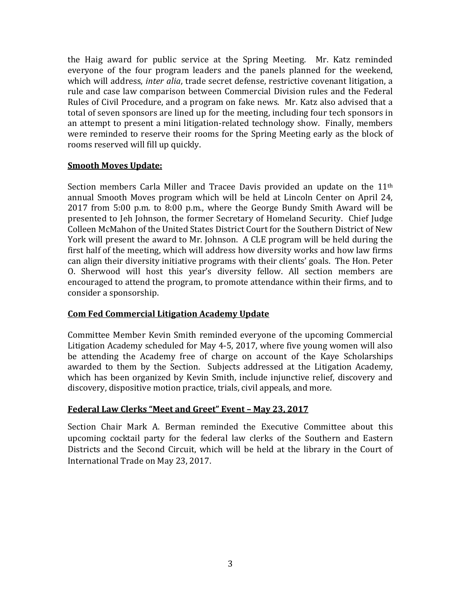the Haig award for public service at the Spring Meeting. Mr. Katz reminded everyone of the four program leaders and the panels planned for the weekend, which will address, *inter alia*, trade secret defense, restrictive covenant litigation, a rule and case law comparison between Commercial Division rules and the Federal Rules of Civil Procedure, and a program on fake news. Mr. Katz also advised that a total of seven sponsors are lined up for the meeting, including four tech sponsors in an attempt to present a mini litigation-related technology show. Finally, members were reminded to reserve their rooms for the Spring Meeting early as the block of rooms reserved will fill up quickly.

#### **Smooth Moves Update:**

Section members Carla Miller and Tracee Davis provided an update on the 11<sup>th</sup> annual Smooth Moves program which will be held at Lincoln Center on April 24, 2017 from 5:00 p.m. to 8:00 p.m., where the George Bundy Smith Award will be presented to Jeh Johnson, the former Secretary of Homeland Security. Chief Judge Colleen McMahon of the United States District Court for the Southern District of New York will present the award to Mr. Johnson. A CLE program will be held during the first half of the meeting, which will address how diversity works and how law firms can align their diversity initiative programs with their clients' goals. The Hon. Peter O. Sherwood will host this year's diversity fellow. All section members are encouraged to attend the program, to promote attendance within their firms, and to consider a sponsorship.

## **Com Fed Commercial Litigation Academy Update**

Committee Member Kevin Smith reminded everyone of the upcoming Commercial Litigation Academy scheduled for May 4-5, 2017, where five young women will also be attending the Academy free of charge on account of the Kaye Scholarships awarded to them by the Section. Subjects addressed at the Litigation Academy, which has been organized by Kevin Smith, include injunctive relief, discovery and discovery, dispositive motion practice, trials, civil appeals, and more.

## **Federal Law Clerks "Meet and Greet" Event – May 23, 2017**

Section Chair Mark A. Berman reminded the Executive Committee about this upcoming cocktail party for the federal law clerks of the Southern and Eastern Districts and the Second Circuit, which will be held at the library in the Court of International Trade on May 23, 2017.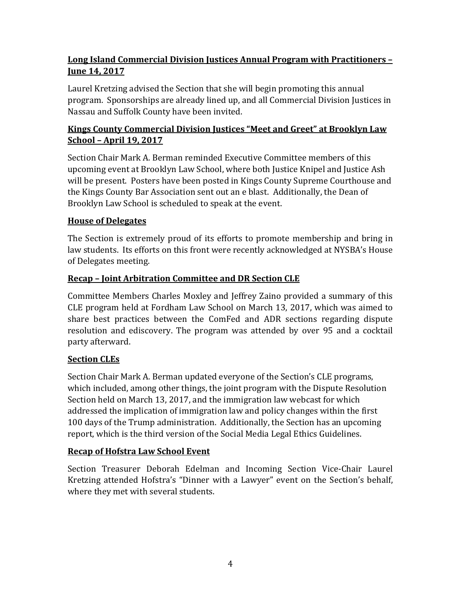# **Long Island Commercial Division Justices Annual Program with Practitioners – June 14, 2017**

Laurel Kretzing advised the Section that she will begin promoting this annual program. Sponsorships are already lined up, and all Commercial Division Justices in Nassau and Suffolk County have been invited.

## **Kings County Commercial Division Justices "Meet and Greet" at Brooklyn Law School – April 19, 2017**

Section Chair Mark A. Berman reminded Executive Committee members of this upcoming event at Brooklyn Law School, where both Justice Knipel and Justice Ash will be present. Posters have been posted in Kings County Supreme Courthouse and the Kings County Bar Association sent out an e blast. Additionally, the Dean of Brooklyn Law School is scheduled to speak at the event.

# **House of Delegates**

The Section is extremely proud of its efforts to promote membership and bring in law students. Its efforts on this front were recently acknowledged at NYSBA's House of Delegates meeting.

# **Recap – Joint Arbitration Committee and DR Section CLE**

Committee Members Charles Moxley and Jeffrey Zaino provided a summary of this CLE program held at Fordham Law School on March 13, 2017, which was aimed to share best practices between the ComFed and ADR sections regarding dispute resolution and ediscovery. The program was attended by over 95 and a cocktail party afterward.

# **Section CLEs**

Section Chair Mark A. Berman updated everyone of the Section's CLE programs, which included, among other things, the joint program with the Dispute Resolution Section held on March 13, 2017, and the immigration law webcast for which addressed the implication of immigration law and policy changes within the first 100 days of the Trump administration. Additionally, the Section has an upcoming report, which is the third version of the Social Media Legal Ethics Guidelines.

# **Recap of Hofstra Law School Event**

Section Treasurer Deborah Edelman and Incoming Section Vice-Chair Laurel Kretzing attended Hofstra's "Dinner with a Lawyer" event on the Section's behalf, where they met with several students.